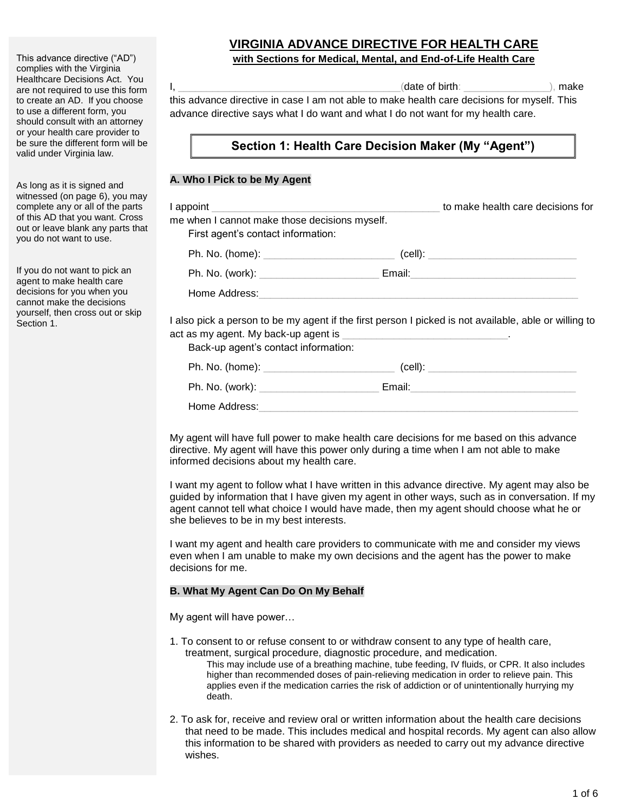This advance directive ("AD") complies with the Virginia Healthcare Decisions Act. You are not required to use this form to create an AD. If you choose to use a different form, you should consult with an attorney or your health care provider to be sure the different form will be valid under Virginia law.

As long as it is signed and witnessed (on page 6), you may complete any or all of the parts of this AD that you want. Cross out or leave blank any parts that you do not want to use.

If you do not want to pick an agent to make health care decisions for you when you cannot make the decisions yourself, then cross out or skip Section 1.

## **VIRGINIA ADVANCE DIRECTIVE FOR HEALTH CARE with Sections for Medical, Mental, and End-of-Life Health Care**

 $I$ ,  $\blacksquare$ 

this advance directive in case I am not able to make health care decisions for myself. This advance directive says what I do want and what I do not want for my health care.

## **Section 1: Health Care Decision Maker (My "Agent")**

### **A. Who I Pick to be My Agent**

| me when I cannot make those decisions myself.<br>First agent's contact information:                                                                                                                                                                                                                                                      | to make health care decisions for |
|------------------------------------------------------------------------------------------------------------------------------------------------------------------------------------------------------------------------------------------------------------------------------------------------------------------------------------------|-----------------------------------|
| Ph. No. (home): __________________________________(cell): ______________________                                                                                                                                                                                                                                                         |                                   |
|                                                                                                                                                                                                                                                                                                                                          |                                   |
| Home Address:                                                                                                                                                                                                                                                                                                                            |                                   |
| I also pick a person to be my agent if the first person I picked is not available, able or willing to<br>$\sim$ . The set of the set of the set of the set of the set of the set of the set of the set of the set of the set of the set of the set of the set of the set of the set of the set of the set of the set of the set of the s |                                   |

act as my agent. My back-up agent is Back-up agent's contact information:

| Ph. No. (home): | $(cell)$ : |
|-----------------|------------|
| Ph. No. (work): | Email:     |
| Home Address:   |            |

My agent will have full power to make health care decisions for me based on this advance directive. My agent will have this power only during a time when I am not able to make informed decisions about my health care.

I want my agent to follow what I have written in this advance directive. My agent may also be guided by information that I have given my agent in other ways, such as in conversation. If my agent cannot tell what choice I would have made, then my agent should choose what he or she believes to be in my best interests.

I want my agent and health care providers to communicate with me and consider my views even when I am unable to make my own decisions and the agent has the power to make decisions for me.

#### **B. What My Agent Can Do On My Behalf**

My agent will have power…

- 1. To consent to or refuse consent to or withdraw consent to any type of health care, treatment, surgical procedure, diagnostic procedure, and medication. This may include use of a breathing machine, tube feeding, IV fluids, or CPR. It also includes higher than recommended doses of pain-relieving medication in order to relieve pain. This applies even if the medication carries the risk of addiction or of unintentionally hurrying my death.
- 2. To ask for, receive and review oral or written information about the health care decisions that need to be made. This includes medical and hospital records. My agent can also allow this information to be shared with providers as needed to carry out my advance directive wishes.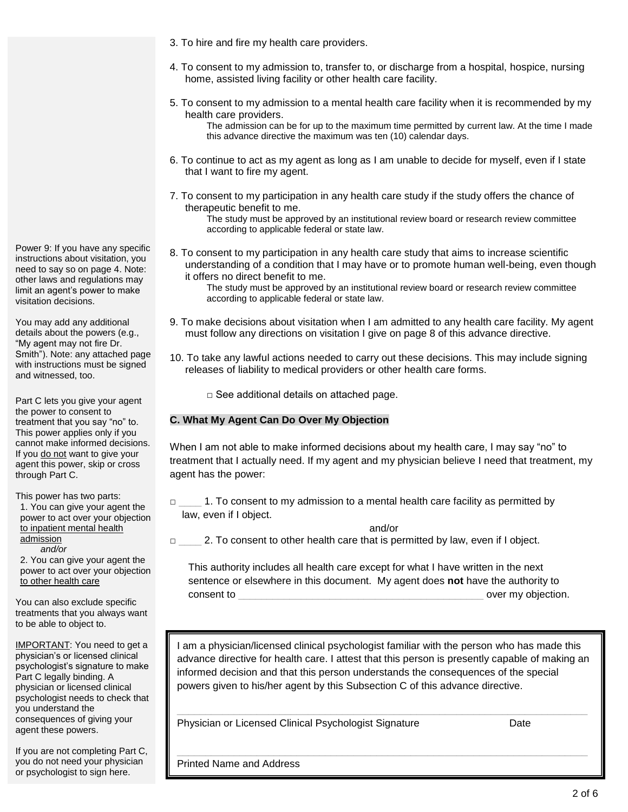Power 9: If you have any specific instructions about visitation, you need to say so on page 4. Note: other laws and regulations may limit an agent's power to make visitation decisions.

You may add any additional details about the powers (e.g., "My agent may not fire Dr. Smith"). Note: any attached page with instructions must be signed and witnessed, too.

Part C lets you give your agent the power to consent to treatment that you say "no" to. This power applies only if you cannot make informed decisions. If you do not want to give your agent this power, skip or cross through Part C.

This power has two parts: 1. You can give your agent the power to act over your objection to inpatient mental health admission  *and/or*

2. You can give your agent the power to act over your objection to other health care

You can also exclude specific treatments that you always want to be able to object to.

IMPORTANT: You need to get a physician's or licensed clinical psychologist's signature to make Part C legally binding. A physician or licensed clinical psychologist needs to check that you understand the consequences of giving your agent these powers.

If you are not completing Part C, you do not need your physician or psychologist to sign here.

- 3. To hire and fire my health care providers.
- 4. To consent to my admission to, transfer to, or discharge from a hospital, hospice, nursing home, assisted living facility or other health care facility.
- 5. To consent to my admission to a mental health care facility when it is recommended by my health care providers.

The admission can be for up to the maximum time permitted by current law. At the time I made this advance directive the maximum was ten (10) calendar days.

- 6. To continue to act as my agent as long as I am unable to decide for myself, even if I state that I want to fire my agent.
- 7. To consent to my participation in any health care study if the study offers the chance of therapeutic benefit to me.

The study must be approved by an institutional review board or research review committee according to applicable federal or state law.

8. To consent to my participation in any health care study that aims to increase scientific understanding of a condition that I may have or to promote human well-being, even though it offers no direct benefit to me.

The study must be approved by an institutional review board or research review committee according to applicable federal or state law.

- 9. To make decisions about visitation when I am admitted to any health care facility. My agent must follow any directions on visitation I give on page 8 of this advance directive.
- 10. To take any lawful actions needed to carry out these decisions. This may include signing releases of liability to medical providers or other health care forms.

 $\square$  See additional details on attached page.

### **C. What My Agent Can Do Over My Objection**

When I am not able to make informed decisions about my health care, I may say "no" to treatment that I actually need. If my agent and my physician believe I need that treatment, my agent has the power:

□ \_\_\_\_ 1. To consent to my admission to a mental health care facility as permitted by law, even if I object.

and/or

□ \_\_\_\_\_\_\_ 2. To consent to other health care that is permitted by law, even if I object.

This authority includes all health care except for what I have written in the next sentence or elsewhere in this document. My agent does **not** have the authority to consent to **one of the set of the set of the set of the set of the set of the set of the set of the set of the set of the set of the set of the set of the set of the set of the set of the set of the set of the set of the s** 

I am a physician/licensed clinical psychologist familiar with the person who has made this advance directive for health care. I attest that this person is presently capable of making an informed decision and that this person understands the consequences of the special powers given to his/her agent by this Subsection C of this advance directive.

 $\_$  ,  $\_$  ,  $\_$  ,  $\_$  ,  $\_$  ,  $\_$  ,  $\_$  ,  $\_$  ,  $\_$  ,  $\_$  ,  $\_$  ,  $\_$  ,  $\_$  ,  $\_$  ,  $\_$  ,  $\_$  ,  $\_$  ,  $\_$  ,  $\_$ 

Physician or Licensed Clinical Psychologist Signature Date

Printed Name and Address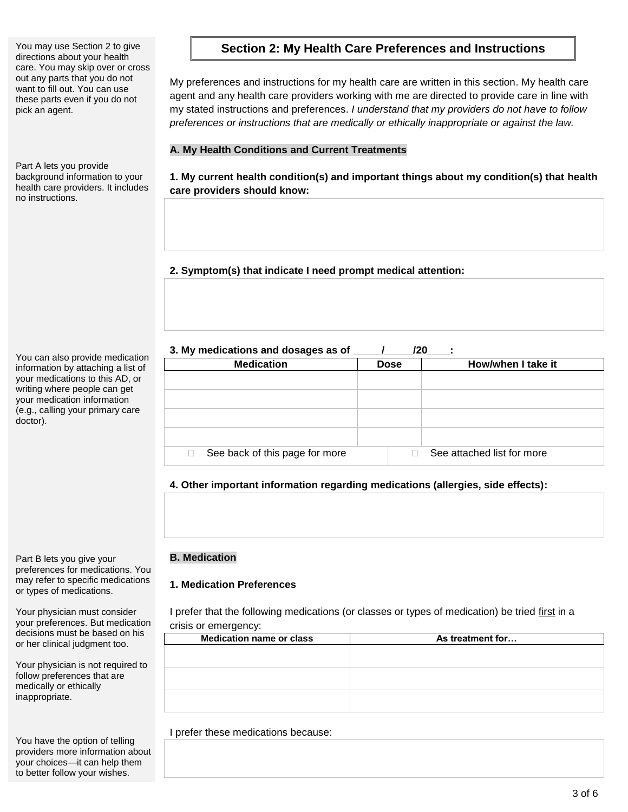directions about your health care. You may skip over or cross out any parts that you do not want to fill out. You can use these parts even if you do not pick an agent.

Part A lets you provide background information to your health care providers. It includes no instructions.

You can also provide medication information by attaching a list of your medications to this AD, or writing where people can get your medication information (e.g., calling your primary care doctor).

Part B lets you give your preferences for medications. You may refer to specific medications or types of medications.

Your physician must consider your preferences. But medication decisions must be based on his or her clinical judgment too.

Your physician is not required to follow preferences that are medically or ethically inappropriate.

You have the option of telling providers more information about your choices—it can help them to better follow your wishes.

# You may use Section 2 to give **Section 2: My Health Care Preferences and Instructions**

My preferences and instructions for my health care are written in this section. My health care agent and any health care providers working with me are directed to provide care in line with my stated instructions and preferences. *I understand that my providers do not have to follow preferences or instructions that are medically or ethically inappropriate or against the law.*

### **A. My Health Conditions and Current Treatments**

**1. My current health condition(s) and important things about my condition(s) that health care providers should know:** 

**2. Symptom(s) that indicate I need prompt medical attention:** 

3. My medications and dosages as of  $\frac{1}{20}$  /20  $\frac{1}{20}$ 

| <b>Dose</b> | How/when I take it         |  |  |  |
|-------------|----------------------------|--|--|--|
|             |                            |  |  |  |
|             |                            |  |  |  |
|             |                            |  |  |  |
|             |                            |  |  |  |
|             |                            |  |  |  |
|             |                            |  |  |  |
|             |                            |  |  |  |
|             |                            |  |  |  |
|             | See attached list for more |  |  |  |
|             |                            |  |  |  |

**4. Other important information regarding medications (allergies, side effects):**

### **B. Medication**

### **1. Medication Preferences**

I prefer that the following medications (or classes or types of medication) be tried first in a crisis or emergency:

| As treatment for |
|------------------|
|                  |
|                  |
|                  |
|                  |
|                  |
|                  |
|                  |

I prefer these medications because: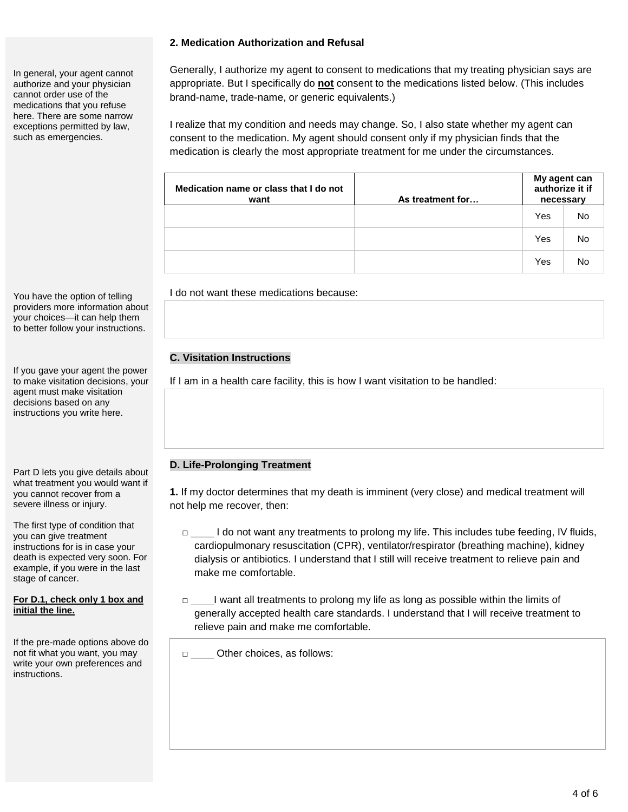In general, your agent cannot authorize and your physician cannot order use of the medications that you refuse here. There are some narrow exceptions permitted by law, such as emergencies.

You have the option of telling providers more information about your choices—it can help them to better follow your instructions.

If you gave your agent the power to make visitation decisions, your agent must make visitation decisions based on any instructions you write here.

Part D lets you give details about what treatment you would want if you cannot recover from a severe illness or injury.

The first type of condition that you can give treatment instructions for is in case your death is expected very soon. For example, if you were in the last stage of cancer.

**For D.1, check only 1 box and initial the line.**

If the pre-made options above do not fit what you want, you may write your own preferences and instructions.

### **2. Medication Authorization and Refusal**

Generally, I authorize my agent to consent to medications that my treating physician says are appropriate. But I specifically do **not** consent to the medications listed below. (This includes brand-name, trade-name, or generic equivalents.)

I realize that my condition and needs may change. So, I also state whether my agent can consent to the medication. My agent should consent only if my physician finds that the medication is clearly the most appropriate treatment for me under the circumstances.

| Medication name or class that I do not<br>want | As treatment for | My agent can<br>authorize it if<br>necessary |    |
|------------------------------------------------|------------------|----------------------------------------------|----|
|                                                |                  | Yes                                          | No |
|                                                |                  | Yes                                          | No |
|                                                |                  | Yes                                          | No |

I do not want these medications because:

### **C. Visitation Instructions**

If I am in a health care facility, this is how I want visitation to be handled:

### **D. Life-Prolonging Treatment**

**1.** If my doctor determines that my death is imminent (very close) and medical treatment will not help me recover, then:

- □ \_\_\_\_ I do not want any treatments to prolong my life. This includes tube feeding, IV fluids, cardiopulmonary resuscitation (CPR), ventilator/respirator (breathing machine), kidney dialysis or antibiotics. I understand that I still will receive treatment to relieve pain and make me comfortable.
- □ l want all treatments to prolong my life as long as possible within the limits of generally accepted health care standards. I understand that I will receive treatment to relieve pain and make me comfortable.
- □ \_\_\_\_\_ Other choices, as follows: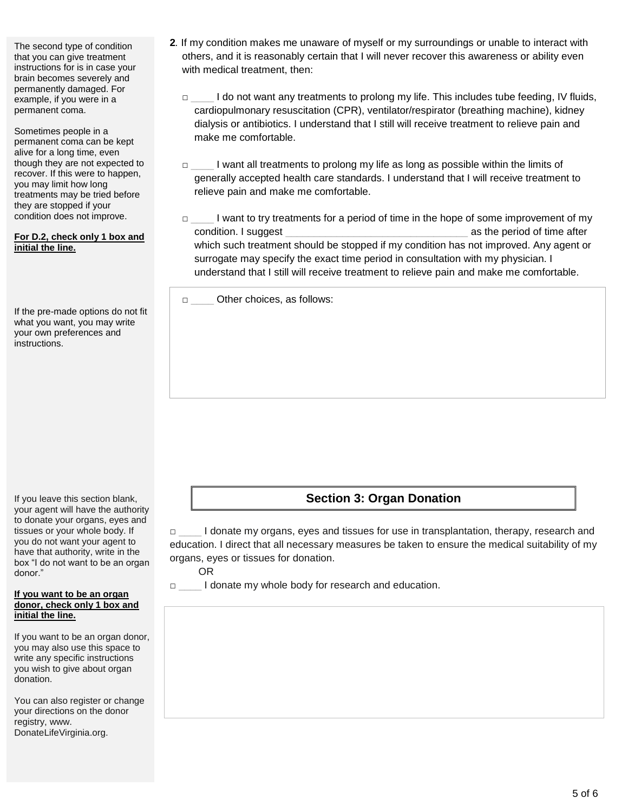The second type of condition that you can give treatment instructions for is in case your brain becomes severely and permanently damaged. For example, if you were in a permanent coma.

Sometimes people in a permanent coma can be kept alive for a long time, even though they are not expected to recover. If this were to happen, you may limit how long treatments may be tried before they are stopped if your condition does not improve.

#### **For D.2, check only 1 box and initial the line.**

If the pre-made options do not fit what you want, you may write your own preferences and instructions.

If you leave this section blank, your agent will have the authority to donate your organs, eyes and tissues or your whole body. If you do not want your agent to have that authority, write in the box "I do not want to be an organ donor."

#### **If you want to be an organ donor, check only 1 box and initial the line.**

If you want to be an organ donor, you may also use this space to write any specific instructions you wish to give about organ donation.

You can also register or change your directions on the donor registry, www. DonateLifeVirginia.org.

- **2***.* If my condition makes me unaware of myself or my surroundings or unable to interact with others, and it is reasonably certain that I will never recover this awareness or ability even with medical treatment, then:
	- □ \_\_\_\_ I do not want any treatments to prolong my life. This includes tube feeding, IV fluids, cardiopulmonary resuscitation (CPR), ventilator/respirator (breathing machine), kidney dialysis or antibiotics. I understand that I still will receive treatment to relieve pain and make me comfortable.
	- □ \_\_\_\_ I want all treatments to prolong my life as long as possible within the limits of generally accepted health care standards. I understand that I will receive treatment to relieve pain and make me comfortable.
	- □ l want to try treatments for a period of time in the hope of some improvement of my condition. I suggest  $\Box$ which such treatment should be stopped if my condition has not improved. Any agent or surrogate may specify the exact time period in consultation with my physician. I understand that I still will receive treatment to relieve pain and make me comfortable.

□ \_\_\_\_\_ Other choices, as follows:

# **Section 3: Organ Donation**

□ \_\_\_\_ I donate my organs, eyes and tissues for use in transplantation, therapy, research and education. I direct that all necessary measures be taken to ensure the medical suitability of my organs, eyes or tissues for donation.

OR

□ \_\_\_\_ I donate my whole body for research and education.